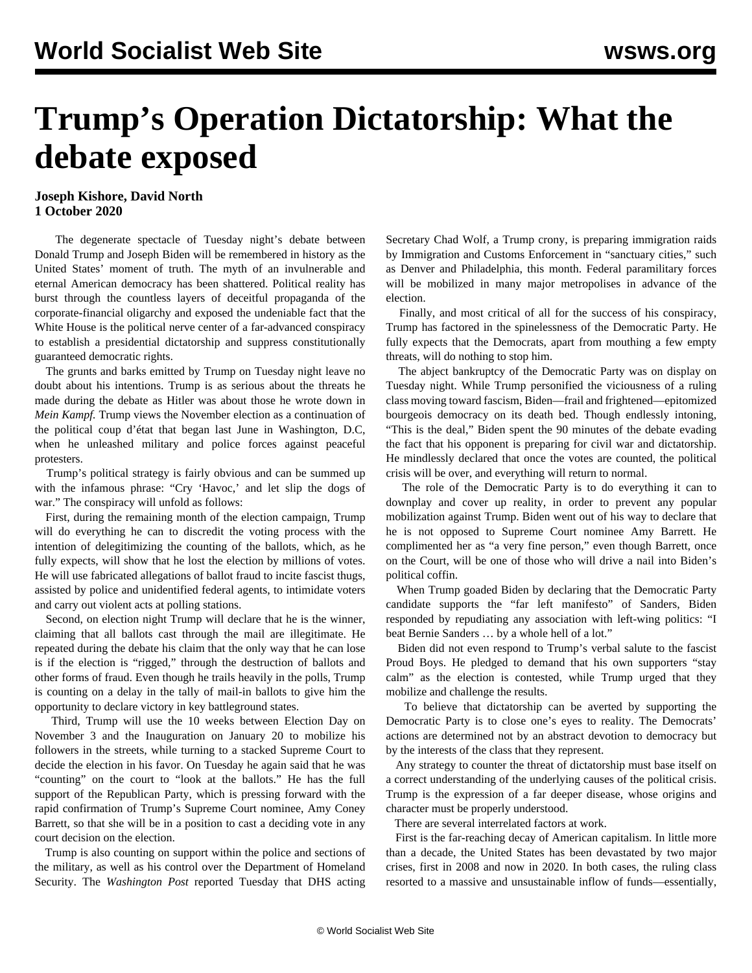## **Trump's Operation Dictatorship: What the debate exposed**

## **Joseph Kishore, David North 1 October 2020**

 The degenerate spectacle of Tuesday night's debate between Donald Trump and Joseph Biden will be remembered in history as the United States' moment of truth. The myth of an invulnerable and eternal American democracy has been shattered. Political reality has burst through the countless layers of deceitful propaganda of the corporate-financial oligarchy and exposed the undeniable fact that the White House is the political nerve center of a far-advanced conspiracy to establish a presidential dictatorship and suppress constitutionally guaranteed democratic rights.

 The grunts and barks emitted by Trump on Tuesday night leave no doubt about his intentions. Trump is as serious about the threats he made during the debate as Hitler was about those he wrote down in *Mein Kampf.* Trump views the November election as a continuation of the political coup d'état that began last June in Washington, D.C, when he unleashed military and police forces against peaceful protesters.

 Trump's political strategy is fairly obvious and can be summed up with the infamous phrase: "Cry 'Havoc,' and let slip the dogs of war." The conspiracy will unfold as follows:

 First, during the remaining month of the election campaign, Trump will do everything he can to discredit the voting process with the intention of delegitimizing the counting of the ballots, which, as he fully expects, will show that he lost the election by millions of votes. He will use fabricated allegations of ballot fraud to incite fascist thugs, assisted by police and unidentified federal agents, to intimidate voters and carry out violent acts at polling stations.

 Second, on election night Trump will declare that he is the winner, claiming that all ballots cast through the mail are illegitimate. He repeated during the debate his claim that the only way that he can lose is if the election is "rigged," through the destruction of ballots and other forms of fraud. Even though he trails heavily in the polls, Trump is counting on a delay in the tally of mail-in ballots to give him the opportunity to declare victory in key battleground states.

 Third, Trump will use the 10 weeks between Election Day on November 3 and the Inauguration on January 20 to mobilize his followers in the streets, while turning to a stacked Supreme Court to decide the election in his favor. On Tuesday he again said that he was "counting" on the court to "look at the ballots." He has the full support of the Republican Party, which is pressing forward with the rapid confirmation of Trump's Supreme Court nominee, Amy Coney Barrett, so that she will be in a position to cast a deciding vote in any court decision on the election.

 Trump is also counting on support within the police and sections of the military, as well as his control over the Department of Homeland Security. The *Washington Post* reported Tuesday that DHS acting

Secretary Chad Wolf, a Trump crony, is preparing immigration raids by Immigration and Customs Enforcement in "sanctuary cities," such as Denver and Philadelphia, this month. Federal paramilitary forces will be mobilized in many major metropolises in advance of the election.

 Finally, and most critical of all for the success of his conspiracy, Trump has factored in the spinelessness of the Democratic Party. He fully expects that the Democrats, apart from mouthing a few empty threats, will do nothing to stop him.

 The abject bankruptcy of the Democratic Party was on display on Tuesday night. While Trump personified the viciousness of a ruling class moving toward fascism, Biden—frail and frightened—epitomized bourgeois democracy on its death bed. Though endlessly intoning, "This is the deal," Biden spent the 90 minutes of the debate evading the fact that his opponent is preparing for civil war and dictatorship. He mindlessly declared that once the votes are counted, the political crisis will be over, and everything will return to normal.

 The role of the Democratic Party is to do everything it can to downplay and cover up reality, in order to prevent any popular mobilization against Trump. Biden went out of his way to declare that he is not opposed to Supreme Court nominee Amy Barrett. He complimented her as "a very fine person," even though Barrett, once on the Court, will be one of those who will drive a nail into Biden's political coffin.

 When Trump goaded Biden by declaring that the Democratic Party candidate supports the "far left manifesto" of Sanders, Biden responded by repudiating any association with left-wing politics: "I beat Bernie Sanders … by a whole hell of a lot."

 Biden did not even respond to Trump's verbal salute to the fascist Proud Boys. He pledged to demand that his own supporters "stay calm" as the election is contested, while Trump urged that they mobilize and challenge the results.

 To believe that dictatorship can be averted by supporting the Democratic Party is to close one's eyes to reality. The Democrats' actions are determined not by an abstract devotion to democracy but by the interests of the class that they represent.

 Any strategy to counter the threat of dictatorship must base itself on a correct understanding of the underlying causes of the political crisis. Trump is the expression of a far deeper disease, whose origins and character must be properly understood.

There are several interrelated factors at work.

 First is the far-reaching decay of American capitalism. In little more than a decade, the United States has been devastated by two major crises, first in 2008 and now in 2020. In both cases, the ruling class resorted to a massive and unsustainable inflow of funds—essentially,